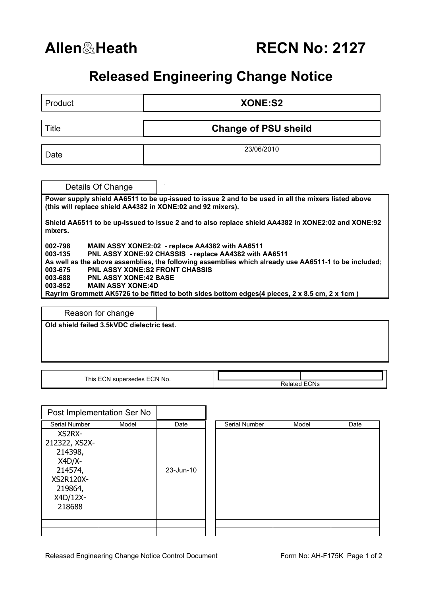## **Released Engineering Change Notice**

| Product                                                                                                                                                                         | <b>XONE:S2</b>              |  |  |  |  |
|---------------------------------------------------------------------------------------------------------------------------------------------------------------------------------|-----------------------------|--|--|--|--|
| <b>Title</b>                                                                                                                                                                    | <b>Change of PSU sheild</b> |  |  |  |  |
| Date                                                                                                                                                                            | 23/06/2010                  |  |  |  |  |
| Details Of Change                                                                                                                                                               |                             |  |  |  |  |
| Power supply shield AA6511 to be up-issued to issue 2 and to be used in all the mixers listed above<br>(this will replace shield AA4382 in XONE:02 and 92 mixers).              |                             |  |  |  |  |
| Shield AA6511 to be up-issued to issue 2 and to also replace shield AA4382 in XONE2:02 and XONE:92<br>mixers.                                                                   |                             |  |  |  |  |
| 002-798<br>MAIN ASSY XONE2:02 - replace AA4382 with AA6511<br>PNL ASSY XONE:92 CHASSIS - replace AA4382 with AA6511<br>003-135                                                  |                             |  |  |  |  |
| As well as the above assemblies, the following assemblies which already use AA6511-1 to be included;<br><b>PNL ASSY XONE:S2 FRONT CHASSIS</b><br>003-675                        |                             |  |  |  |  |
| 003-688<br><b>PNL ASSY XONE:42 BASE</b><br>003-852<br><b>MAIN ASSY XONE:4D</b><br>Rayrim Grommett AK5726 to be fitted to both sides bottom edges(4 pieces, 2 x 8.5 cm, 2 x 1cm) |                             |  |  |  |  |
| Reason for change                                                                                                                                                               |                             |  |  |  |  |
| Old shield failed 3.5kVDC dielectric test.                                                                                                                                      |                             |  |  |  |  |

This ECN supersedes ECN No.

Related ECNs

|                                                                                                         | Post Implementation Ser No |           |               |       |      |
|---------------------------------------------------------------------------------------------------------|----------------------------|-----------|---------------|-------|------|
| Serial Number                                                                                           | Model                      | Date      | Serial Number | Model | Date |
| XS2RX-<br>212322, XS2X-<br>214398,<br>$X4D/X-$<br>214574,<br>XS2R120X-<br>219864,<br>X4D/12X-<br>218688 |                            | 23-Jun-10 |               |       |      |
|                                                                                                         |                            |           |               |       |      |
|                                                                                                         |                            |           |               |       |      |

| Serial Number | Model | Date |
|---------------|-------|------|
|               |       |      |
|               |       |      |
|               |       |      |
|               |       |      |
|               |       |      |
|               |       |      |
|               |       |      |
|               |       |      |
|               |       |      |
|               |       |      |
|               |       |      |
|               |       |      |